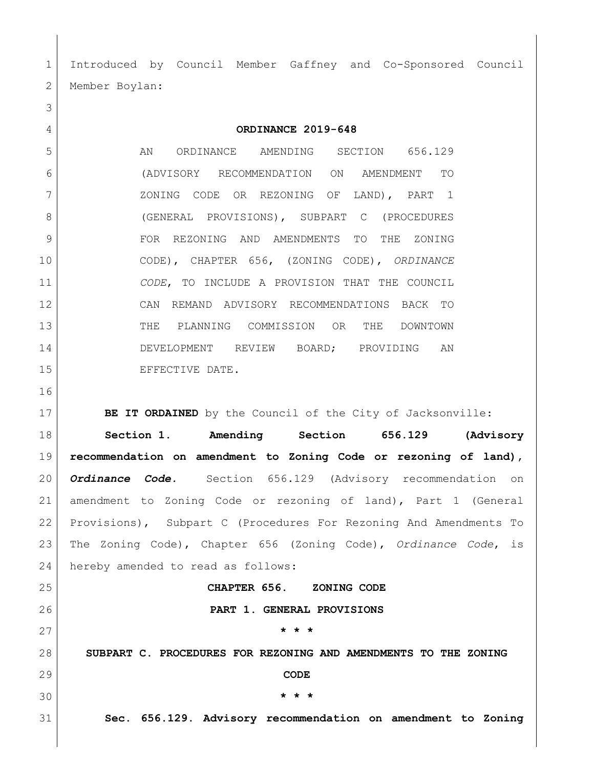Introduced by Council Member Gaffney and Co-Sponsored Council 2 | Member Boylan:

**ORDINANCE 2019-648**

5 AN ORDINANCE AMENDING SECTION 656.129 (ADVISORY RECOMMENDATION ON AMENDMENT TO ZONING CODE OR REZONING OF LAND), PART 1 (GENERAL PROVISIONS), SUBPART C (PROCEDURES FOR REZONING AND AMENDMENTS TO THE ZONING CODE), CHAPTER 656, (ZONING CODE), *ORDINANCE CODE*, TO INCLUDE A PROVISION THAT THE COUNCIL CAN REMAND ADVISORY RECOMMENDATIONS BACK TO THE PLANNING COMMISSION OR THE DOWNTOWN DEVELOPMENT REVIEW BOARD; PROVIDING AN 15 EFFECTIVE DATE.

**BE IT ORDAINED** by the Council of the City of Jacksonville:

 **Section 1. Amending Section 656.129 (Advisory recommendation on amendment to Zoning Code or rezoning of land),**  *Ordinance Code.*Section 656.129 (Advisory recommendation on amendment to Zoning Code or rezoning of land), Part 1 (General Provisions), Subpart C (Procedures For Rezoning And Amendments To The Zoning Code), Chapter 656 (Zoning Code), *Ordinance Code*, is 24 hereby amended to read as follows:

**CHAPTER 656. ZONING CODE**

**PART 1. GENERAL PROVISIONS**

**SUBPART C. PROCEDURES FOR REZONING AND AMENDMENTS TO THE ZONING** 

**CODE**

**\* \* \***

**\* \* \***

**Sec. 656.129. Advisory recommendation on amendment to Zoning**